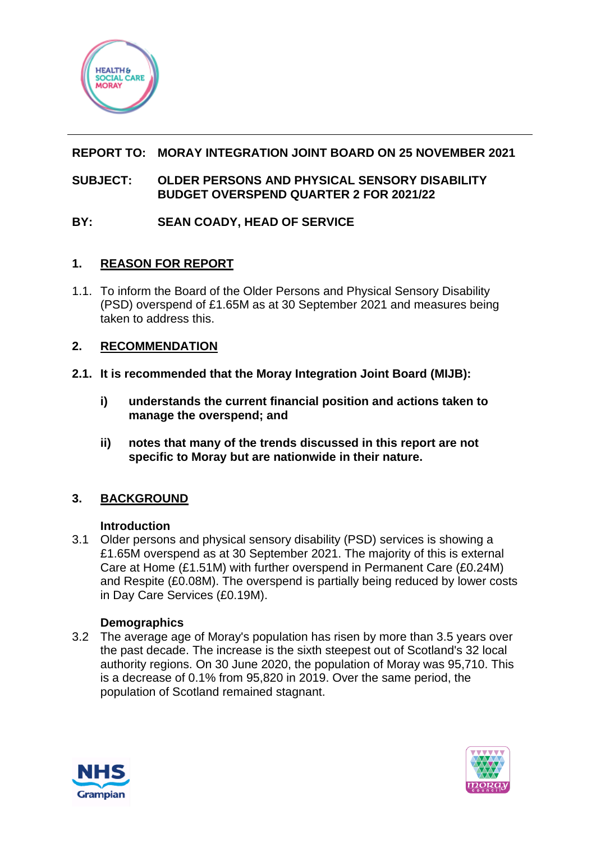

# **REPORT TO: MORAY INTEGRATION JOINT BOARD ON 25 NOVEMBER 2021**

#### **SUBJECT: OLDER PERSONS AND PHYSICAL SENSORY DISABILITY BUDGET OVERSPEND QUARTER 2 FOR 2021/22**

# **BY: SEAN COADY, HEAD OF SERVICE**

## **1. REASON FOR REPORT**

1.1. To inform the Board of the Older Persons and Physical Sensory Disability (PSD) overspend of £1.65M as at 30 September 2021 and measures being taken to address this.

## **2. RECOMMENDATION**

- **2.1. It is recommended that the Moray Integration Joint Board (MIJB):** 
	- **i) understands the current financial position and actions taken to manage the overspend; and**
	- **ii) notes that many of the trends discussed in this report are not specific to Moray but are nationwide in their nature.**

# **3. BACKGROUND**

#### **Introduction**

3.1 Older persons and physical sensory disability (PSD) services is showing a £1.65M overspend as at 30 September 2021. The majority of this is external Care at Home (£1.51M) with further overspend in Permanent Care (£0.24M) and Respite (£0.08M). The overspend is partially being reduced by lower costs in Day Care Services (£0.19M).

#### **Demographics**

3.2 The average age of Moray's population has risen by more than 3.5 years over the past decade. The increase is the sixth steepest out of Scotland's 32 local authority regions. On 30 June 2020, the population of Moray was 95,710. This is a decrease of 0.1% from 95,820 in 2019. Over the same period, the population of Scotland remained stagnant.



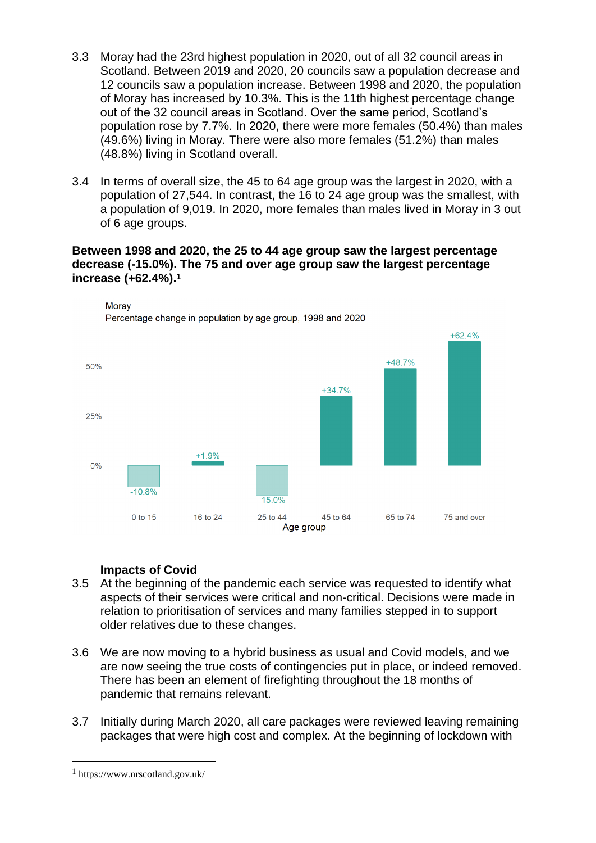- 3.3 Moray had the 23rd highest population in 2020, out of all 32 council areas in Scotland. Between 2019 and 2020, 20 councils saw a population decrease and 12 councils saw a population increase. Between 1998 and 2020, the population of Moray has increased by 10.3%. This is the 11th highest percentage change out of the 32 council areas in Scotland. Over the same period, Scotland's population rose by 7.7%. In 2020, there were more females (50.4%) than males (49.6%) living in Moray. There were also more females (51.2%) than males (48.8%) living in Scotland overall.
- 3.4 In terms of overall size, the 45 to 64 age group was the largest in 2020, with a population of 27,544. In contrast, the 16 to 24 age group was the smallest, with a population of 9,019. In 2020, more females than males lived in Moray in 3 out of 6 age groups.

#### **Between 1998 and 2020, the 25 to 44 age group saw the largest percentage decrease (-15.0%). The 75 and over age group saw the largest percentage increase (+62.4%).<sup>1</sup>**



**Morav** Percentage change in population by age group. 1998 and 2020

## **Impacts of Covid**

- 3.5 At the beginning of the pandemic each service was requested to identify what aspects of their services were critical and non-critical. Decisions were made in relation to prioritisation of services and many families stepped in to support older relatives due to these changes.
- 3.6 We are now moving to a hybrid business as usual and Covid models, and we are now seeing the true costs of contingencies put in place, or indeed removed. There has been an element of firefighting throughout the 18 months of pandemic that remains relevant.
- 3.7 Initially during March 2020, all care packages were reviewed leaving remaining packages that were high cost and complex. At the beginning of lockdown with

<sup>1</sup> https://www.nrscotland.gov.uk/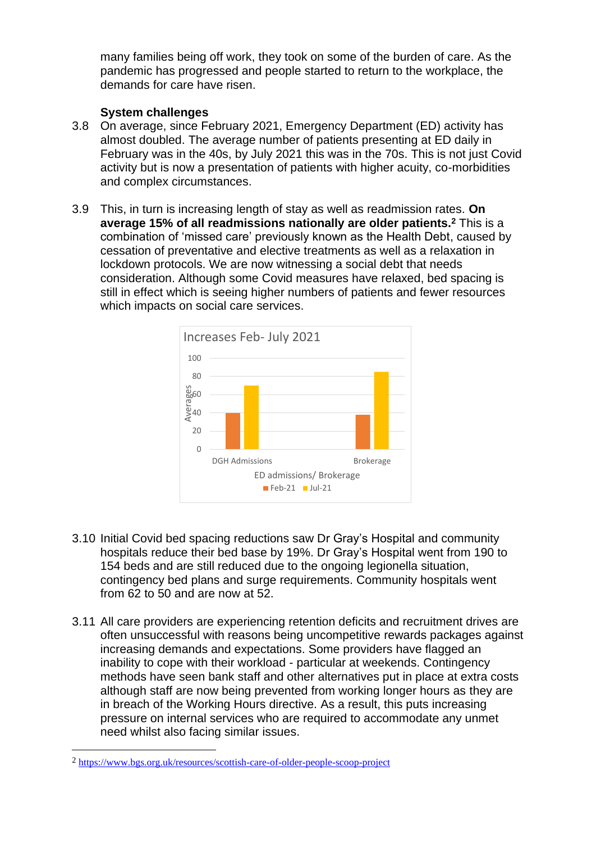many families being off work, they took on some of the burden of care. As the pandemic has progressed and people started to return to the workplace, the demands for care have risen.

#### **System challenges**

- 3.8 On average, since February 2021, Emergency Department (ED) activity has almost doubled. The average number of patients presenting at ED daily in February was in the 40s, by July 2021 this was in the 70s. This is not just Covid activity but is now a presentation of patients with higher acuity, co-morbidities and complex circumstances.
- 3.9 This, in turn is increasing length of stay as well as readmission rates. **On average 15% of all readmissions nationally are older patients.<sup>2</sup>** This is a combination of 'missed care' previously known as the Health Debt, caused by cessation of preventative and elective treatments as well as a relaxation in lockdown protocols. We are now witnessing a social debt that needs consideration. Although some Covid measures have relaxed, bed spacing is still in effect which is seeing higher numbers of patients and fewer resources which impacts on social care services.



- 3.10 Initial Covid bed spacing reductions saw Dr Gray's Hospital and community hospitals reduce their bed base by 19%. Dr Gray's Hospital went from 190 to 154 beds and are still reduced due to the ongoing legionella situation, contingency bed plans and surge requirements. Community hospitals went from 62 to 50 and are now at 52.
- 3.11 All care providers are experiencing retention deficits and recruitment drives are often unsuccessful with reasons being uncompetitive rewards packages against increasing demands and expectations. Some providers have flagged an inability to cope with their workload - particular at weekends. Contingency methods have seen bank staff and other alternatives put in place at extra costs although staff are now being prevented from working longer hours as they are in breach of the Working Hours directive. As a result, this puts increasing pressure on internal services who are required to accommodate any unmet need whilst also facing similar issues.

<sup>2</sup> <https://www.bgs.org.uk/resources/scottish-care-of-older-people-scoop-project>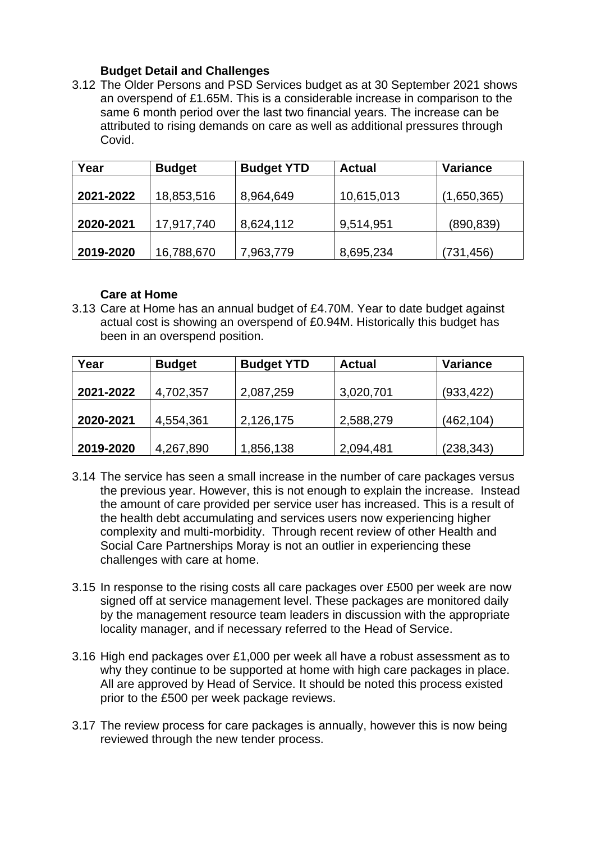#### **Budget Detail and Challenges**

3.12 The Older Persons and PSD Services budget as at 30 September 2021 shows an overspend of £1.65M. This is a considerable increase in comparison to the same 6 month period over the last two financial years. The increase can be attributed to rising demands on care as well as additional pressures through Covid.

| Year      | <b>Budget</b> | <b>Budget YTD</b> | <b>Actual</b> | <b>Variance</b> |  |
|-----------|---------------|-------------------|---------------|-----------------|--|
|           |               |                   |               |                 |  |
| 2021-2022 | 18,853,516    | 8,964,649         | 10,615,013    | (1,650,365)     |  |
|           |               |                   |               |                 |  |
| 2020-2021 | 17,917,740    | 8,624,112         | 9,514,951     | (890, 839)      |  |
|           |               |                   |               |                 |  |
| 2019-2020 | 16,788,670    | 7,963,779         | 8,695,234     | (731,456)       |  |

#### **Care at Home**

3.13 Care at Home has an annual budget of £4.70M. Year to date budget against actual cost is showing an overspend of £0.94M. Historically this budget has been in an overspend position.

| Year      | <b>Budget</b> | <b>Budget YTD</b> | <b>Actual</b> | <b>Variance</b> |
|-----------|---------------|-------------------|---------------|-----------------|
|           |               |                   |               |                 |
| 2021-2022 | 4,702,357     | 2,087,259         | 3,020,701     | (933, 422)      |
|           |               |                   |               |                 |
| 2020-2021 | 4,554,361     | 2,126,175         | 2,588,279     | (462,104)       |
|           |               |                   |               |                 |
| 2019-2020 | 4,267,890     | 1,856,138         | 2,094,481     | (238, 343)      |

- 3.14 The service has seen a small increase in the number of care packages versus the previous year. However, this is not enough to explain the increase. Instead the amount of care provided per service user has increased. This is a result of the health debt accumulating and services users now experiencing higher complexity and multi-morbidity. Through recent review of other Health and Social Care Partnerships Moray is not an outlier in experiencing these challenges with care at home.
- 3.15 In response to the rising costs all care packages over £500 per week are now signed off at service management level. These packages are monitored daily by the management resource team leaders in discussion with the appropriate locality manager, and if necessary referred to the Head of Service.
- 3.16 High end packages over £1,000 per week all have a robust assessment as to why they continue to be supported at home with high care packages in place. All are approved by Head of Service. It should be noted this process existed prior to the £500 per week package reviews.
- 3.17 The review process for care packages is annually, however this is now being reviewed through the new tender process.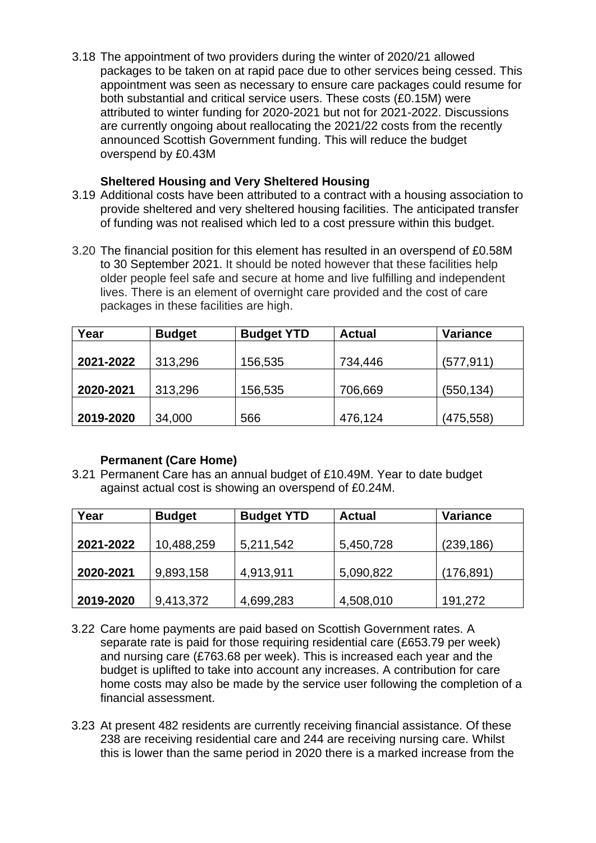3.18 The appointment of two providers during the winter of 2020/21 allowed packages to be taken on at rapid pace due to other services being cessed. This appointment was seen as necessary to ensure care packages could resume for both substantial and critical service users. These costs (£0.15M) were attributed to winter funding for 2020-2021 but not for 2021-2022. Discussions are currently ongoing about reallocating the 2021/22 costs from the recently announced Scottish Government funding. This will reduce the budget overspend by £0.43M

#### **Sheltered Housing and Very Sheltered Housing**

- 3.19 Additional costs have been attributed to a contract with a housing association to provide sheltered and very sheltered housing facilities. The anticipated transfer of funding was not realised which led to a cost pressure within this budget.
- 3.20 The financial position for this element has resulted in an overspend of £0.58M to 30 September 2021. It should be noted however that these facilities help older people feel safe and secure at home and live fulfilling and independent lives. There is an element of overnight care provided and the cost of care packages in these facilities are high.

| Year      | <b>Budget</b> | <b>Budget YTD</b> | <b>Actual</b> | <b>Variance</b> |
|-----------|---------------|-------------------|---------------|-----------------|
|           |               |                   |               |                 |
| 2021-2022 | 313,296       | 156,535           | 734,446       | (577, 911)      |
|           |               |                   |               |                 |
| 2020-2021 | 313,296       | 156,535           | 706,669       | (550, 134)      |
|           |               |                   |               |                 |
| 2019-2020 | 34,000        | 566               | 476,124       | (475, 558)      |

## **Permanent (Care Home)**

3.21 Permanent Care has an annual budget of £10.49M. Year to date budget against actual cost is showing an overspend of £0.24M.

| Year      | <b>Budget</b> | <b>Budget YTD</b> | <b>Actual</b> | <b>Variance</b> |
|-----------|---------------|-------------------|---------------|-----------------|
|           |               |                   |               |                 |
| 2021-2022 | 10,488,259    | 5,211,542         | 5,450,728     | (239, 186)      |
|           |               |                   |               |                 |
| 2020-2021 | 9,893,158     | 4,913,911         | 5,090,822     | (176, 891)      |
|           |               |                   |               |                 |
| 2019-2020 | 9,413,372     | 4,699,283         | 4,508,010     | 191,272         |

- 3.22 Care home payments are paid based on Scottish Government rates. A separate rate is paid for those requiring residential care (£653.79 per week) and nursing care (£763.68 per week). This is increased each year and the budget is uplifted to take into account any increases. A contribution for care home costs may also be made by the service user following the completion of a financial assessment.
- 3.23 At present 482 residents are currently receiving financial assistance. Of these 238 are receiving residential care and 244 are receiving nursing care. Whilst this is lower than the same period in 2020 there is a marked increase from the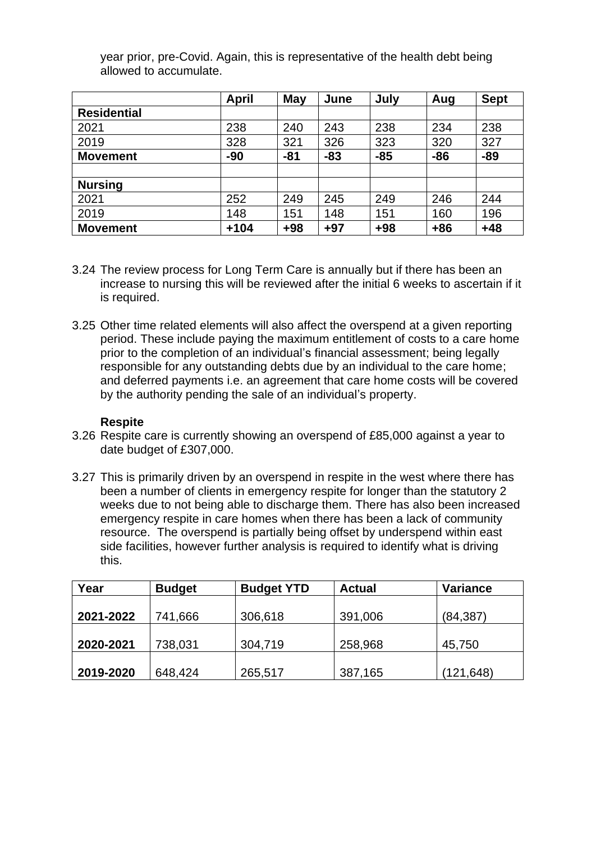|                    | <b>April</b> | <b>May</b> | June  | July  | Aug   | <b>Sept</b> |
|--------------------|--------------|------------|-------|-------|-------|-------------|
| <b>Residential</b> |              |            |       |       |       |             |
| 2021               | 238          | 240        | 243   | 238   | 234   | 238         |
| 2019               | 328          | 321        | 326   | 323   | 320   | 327         |
| <b>Movement</b>    | $-90$        | $-81$      | $-83$ | $-85$ | $-86$ | $-89$       |
|                    |              |            |       |       |       |             |
| <b>Nursing</b>     |              |            |       |       |       |             |
| 2021               | 252          | 249        | 245   | 249   | 246   | 244         |
| 2019               | 148          | 151        | 148   | 151   | 160   | 196         |
| <b>Movement</b>    | $+104$       | $+98$      | $+97$ | $+98$ | $+86$ | $+48$       |

year prior, pre-Covid. Again, this is representative of the health debt being allowed to accumulate.

- 3.24 The review process for Long Term Care is annually but if there has been an increase to nursing this will be reviewed after the initial 6 weeks to ascertain if it is required.
- 3.25 Other time related elements will also affect the overspend at a given reporting period. These include paying the maximum entitlement of costs to a care home prior to the completion of an individual's financial assessment; being legally responsible for any outstanding debts due by an individual to the care home; and deferred payments i.e. an agreement that care home costs will be covered by the authority pending the sale of an individual's property.

#### **Respite**

- 3.26 Respite care is currently showing an overspend of £85,000 against a year to date budget of £307,000.
- 3.27 This is primarily driven by an overspend in respite in the west where there has been a number of clients in emergency respite for longer than the statutory 2 weeks due to not being able to discharge them. There has also been increased emergency respite in care homes when there has been a lack of community resource. The overspend is partially being offset by underspend within east side facilities, however further analysis is required to identify what is driving this.

| Year      | <b>Budget</b> | <b>Budget YTD</b> | <b>Actual</b> | Variance  |
|-----------|---------------|-------------------|---------------|-----------|
|           |               |                   |               |           |
| 2021-2022 | 741,666       | 306,618           | 391,006       | (84, 387) |
|           |               |                   |               |           |
| 2020-2021 | 738,031       | 304,719           | 258,968       | 45,750    |
|           |               |                   |               |           |
| 2019-2020 | 648,424       | 265,517           | 387,165       | (121,648) |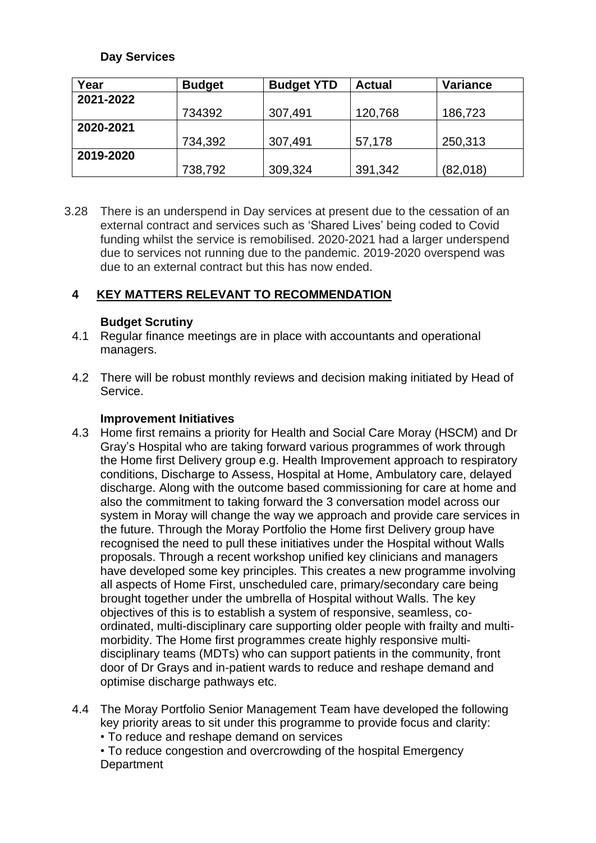#### **Day Services**

| Year      | <b>Budget</b> | <b>Budget YTD</b> | <b>Actual</b> | Variance |
|-----------|---------------|-------------------|---------------|----------|
| 2021-2022 |               |                   |               |          |
|           | 734392        | 307,491           | 120,768       | 186,723  |
| 2020-2021 |               |                   |               |          |
|           | 734,392       | 307,491           | 57,178        | 250,313  |
| 2019-2020 |               |                   |               |          |
|           | 738,792       | 309,324           | 391,342       | (82,018) |

3.28 There is an underspend in Day services at present due to the cessation of an external contract and services such as 'Shared Lives' being coded to Covid funding whilst the service is remobilised. 2020-2021 had a larger underspend due to services not running due to the pandemic. 2019-2020 overspend was due to an external contract but this has now ended.

## **4 KEY MATTERS RELEVANT TO RECOMMENDATION**

#### **Budget Scrutiny**

- 4.1 Regular finance meetings are in place with accountants and operational managers.
- 4.2 There will be robust monthly reviews and decision making initiated by Head of Service.

#### **Improvement Initiatives**

- 4.3 Home first remains a priority for Health and Social Care Moray (HSCM) and Dr Gray's Hospital who are taking forward various programmes of work through the Home first Delivery group e.g. Health Improvement approach to respiratory conditions, Discharge to Assess, Hospital at Home, Ambulatory care, delayed discharge. Along with the outcome based commissioning for care at home and also the commitment to taking forward the 3 conversation model across our system in Moray will change the way we approach and provide care services in the future. Through the Moray Portfolio the Home first Delivery group have recognised the need to pull these initiatives under the Hospital without Walls proposals. Through a recent workshop unified key clinicians and managers have developed some key principles. This creates a new programme involving all aspects of Home First, unscheduled care, primary/secondary care being brought together under the umbrella of Hospital without Walls. The key objectives of this is to establish a system of responsive, seamless, coordinated, multi-disciplinary care supporting older people with frailty and multimorbidity. The Home first programmes create highly responsive multidisciplinary teams (MDTs) who can support patients in the community, front door of Dr Grays and in-patient wards to reduce and reshape demand and optimise discharge pathways etc.
- 4.4 The Moray Portfolio Senior Management Team have developed the following key priority areas to sit under this programme to provide focus and clarity: • To reduce and reshape demand on services
	- To reduce congestion and overcrowding of the hospital Emergency **Department**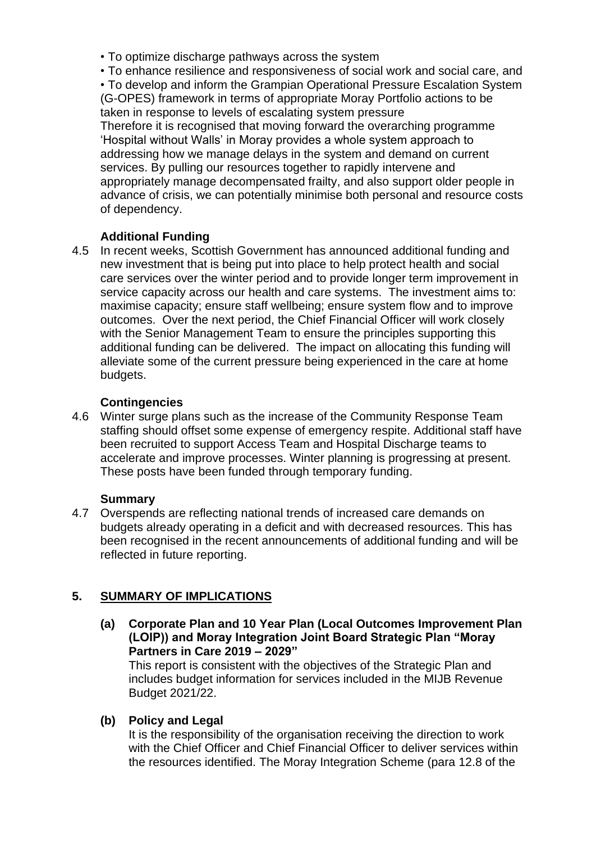- To optimize discharge pathways across the system
- To enhance resilience and responsiveness of social work and social care, and

• To develop and inform the Grampian Operational Pressure Escalation System (G-OPES) framework in terms of appropriate Moray Portfolio actions to be taken in response to levels of escalating system pressure

Therefore it is recognised that moving forward the overarching programme 'Hospital without Walls' in Moray provides a whole system approach to addressing how we manage delays in the system and demand on current services. By pulling our resources together to rapidly intervene and appropriately manage decompensated frailty, and also support older people in advance of crisis, we can potentially minimise both personal and resource costs of dependency.

# **Additional Funding**

4.5 In recent weeks, Scottish Government has announced additional funding and new investment that is being put into place to help protect health and social care services over the winter period and to provide longer term improvement in service capacity across our health and care systems. The investment aims to: maximise capacity; ensure staff wellbeing; ensure system flow and to improve outcomes. Over the next period, the Chief Financial Officer will work closely with the Senior Management Team to ensure the principles supporting this additional funding can be delivered. The impact on allocating this funding will alleviate some of the current pressure being experienced in the care at home budgets.

# **Contingencies**

4.6 Winter surge plans such as the increase of the Community Response Team staffing should offset some expense of emergency respite. Additional staff have been recruited to support Access Team and Hospital Discharge teams to accelerate and improve processes. Winter planning is progressing at present. These posts have been funded through temporary funding.

## **Summary**

4.7 Overspends are reflecting national trends of increased care demands on budgets already operating in a deficit and with decreased resources. This has been recognised in the recent announcements of additional funding and will be reflected in future reporting.

## **5. SUMMARY OF IMPLICATIONS**

**(a) Corporate Plan and 10 Year Plan (Local Outcomes Improvement Plan (LOIP)) and Moray Integration Joint Board Strategic Plan "Moray Partners in Care 2019 – 2029"**

This report is consistent with the objectives of the Strategic Plan and includes budget information for services included in the MIJB Revenue Budget 2021/22.

**(b) Policy and Legal**

It is the responsibility of the organisation receiving the direction to work with the Chief Officer and Chief Financial Officer to deliver services within the resources identified. The Moray Integration Scheme (para 12.8 of the